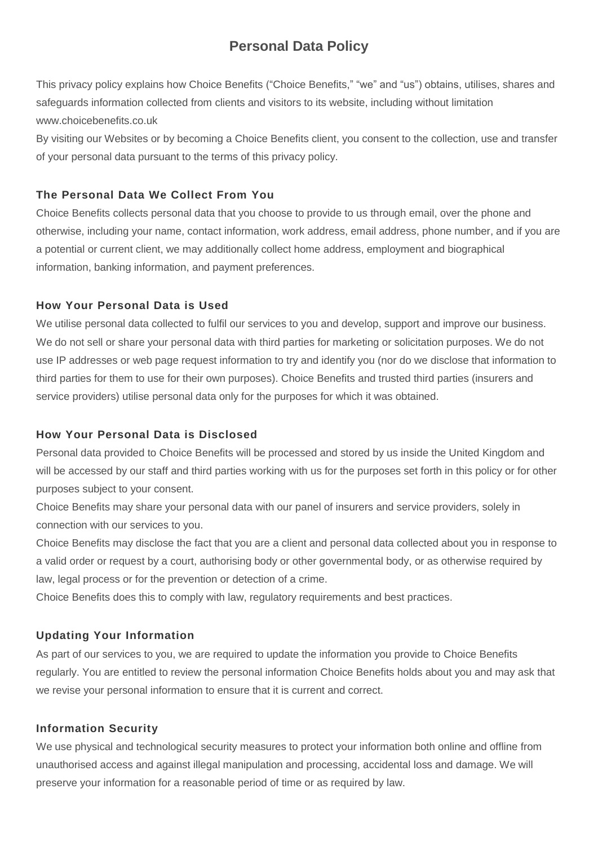# **Personal Data Policy**

This privacy policy explains how Choice Benefits ("Choice Benefits," "we" and "us") obtains, utilises, shares and safeguards information collected from clients and visitors to its website, including without limitation www.choicebenefits.co.uk

By visiting our Websites or by becoming a Choice Benefits client, you consent to the collection, use and transfer of your personal data pursuant to the terms of this privacy policy.

#### **The Personal Data We Collect From You**

Choice Benefits collects personal data that you choose to provide to us through email, over the phone and otherwise, including your name, contact information, work address, email address, phone number, and if you are a potential or current client, we may additionally collect home address, employment and biographical information, banking information, and payment preferences.

#### **How Your Personal Data is Used**

We utilise personal data collected to fulfil our services to you and develop, support and improve our business. We do not sell or share your personal data with third parties for marketing or solicitation purposes. We do not use IP addresses or web page request information to try and identify you (nor do we disclose that information to third parties for them to use for their own purposes). Choice Benefits and trusted third parties (insurers and service providers) utilise personal data only for the purposes for which it was obtained.

### **How Your Personal Data is Disclosed**

Personal data provided to Choice Benefits will be processed and stored by us inside the United Kingdom and will be accessed by our staff and third parties working with us for the purposes set forth in this policy or for other purposes subject to your consent.

Choice Benefits may share your personal data with our panel of insurers and service providers, solely in connection with our services to you.

Choice Benefits may disclose the fact that you are a client and personal data collected about you in response to a valid order or request by a court, authorising body or other governmental body, or as otherwise required by law, legal process or for the prevention or detection of a crime.

Choice Benefits does this to comply with law, regulatory requirements and best practices.

#### **Updating Your Information**

As part of our services to you, we are required to update the information you provide to Choice Benefits regularly. You are entitled to review the personal information Choice Benefits holds about you and may ask that we revise your personal information to ensure that it is current and correct.

#### **Information Security**

We use physical and technological security measures to protect your information both online and offline from unauthorised access and against illegal manipulation and processing, accidental loss and damage. We will preserve your information for a reasonable period of time or as required by law.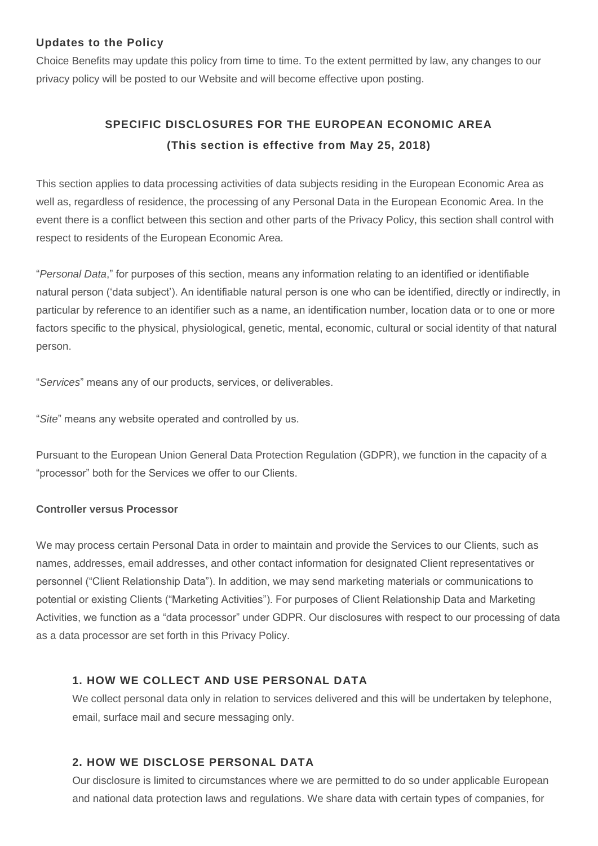#### **Updates to the Policy**

Choice Benefits may update this policy from time to time. To the extent permitted by law, any changes to our privacy policy will be posted to our Website and will become effective upon posting.

# **SPECIFIC DISCLOSURES FOR THE EUROPEAN ECONOMIC AREA (This section is effective from May 25, 2018)**

This section applies to data processing activities of data subjects residing in the European Economic Area as well as, regardless of residence, the processing of any Personal Data in the European Economic Area. In the event there is a conflict between this section and other parts of the Privacy Policy, this section shall control with respect to residents of the European Economic Area.

"*Personal Data*," for purposes of this section, means any information relating to an identified or identifiable natural person ('data subject'). An identifiable natural person is one who can be identified, directly or indirectly, in particular by reference to an identifier such as a name, an identification number, location data or to one or more factors specific to the physical, physiological, genetic, mental, economic, cultural or social identity of that natural person.

"*Services*" means any of our products, services, or deliverables.

"*Site*" means any website operated and controlled by us.

Pursuant to the European Union General Data Protection Regulation (GDPR), we function in the capacity of a "processor" both for the Services we offer to our Clients.

#### **Controller versus Processor**

We may process certain Personal Data in order to maintain and provide the Services to our Clients, such as names, addresses, email addresses, and other contact information for designated Client representatives or personnel ("Client Relationship Data"). In addition, we may send marketing materials or communications to potential or existing Clients ("Marketing Activities"). For purposes of Client Relationship Data and Marketing Activities, we function as a "data processor" under GDPR. Our disclosures with respect to our processing of data as a data processor are set forth in this Privacy Policy.

#### **1. HOW WE COLLECT AND USE PERSONAL DATA**

We collect personal data only in relation to services delivered and this will be undertaken by telephone, email, surface mail and secure messaging only.

#### **2. HOW WE DISCLOSE PERSONAL DATA**

Our disclosure is limited to circumstances where we are permitted to do so under applicable European and national data protection laws and regulations. We share data with certain types of companies, for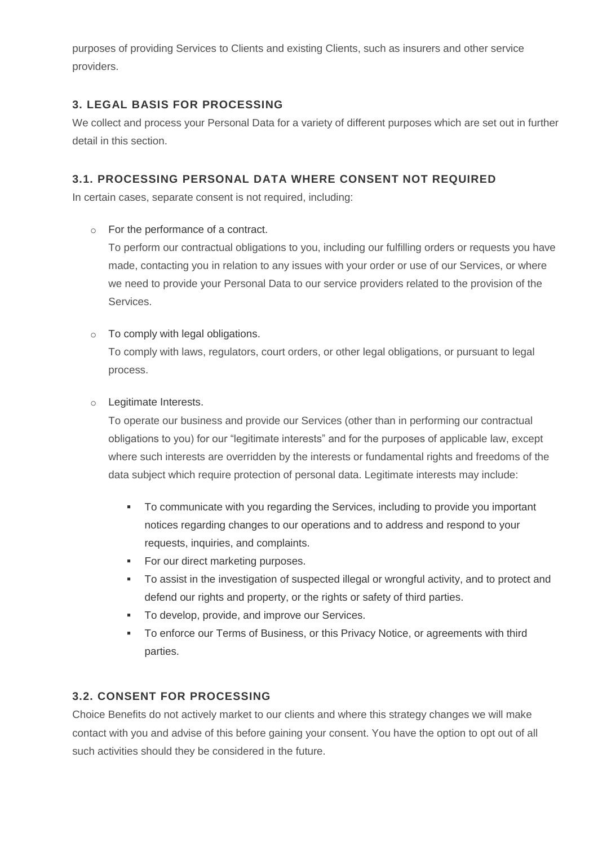purposes of providing Services to Clients and existing Clients, such as insurers and other service providers.

# **3. LEGAL BASIS FOR PROCESSING**

We collect and process your Personal Data for a variety of different purposes which are set out in further detail in this section.

# **3.1. PROCESSING PERSONAL DATA WHERE CONSENT NOT REQUIRED**

In certain cases, separate consent is not required, including:

o For the performance of a contract.

To perform our contractual obligations to you, including our fulfilling orders or requests you have made, contacting you in relation to any issues with your order or use of our Services, or where we need to provide your Personal Data to our service providers related to the provision of the Services.

- o To comply with legal obligations. To comply with laws, regulators, court orders, or other legal obligations, or pursuant to legal process.
- o Legitimate Interests.

To operate our business and provide our Services (other than in performing our contractual obligations to you) for our "legitimate interests" and for the purposes of applicable law, except where such interests are overridden by the interests or fundamental rights and freedoms of the data subject which require protection of personal data. Legitimate interests may include:

- To communicate with you regarding the Services, including to provide you important notices regarding changes to our operations and to address and respond to your requests, inquiries, and complaints.
- For our direct marketing purposes.
- To assist in the investigation of suspected illegal or wrongful activity, and to protect and defend our rights and property, or the rights or safety of third parties.
- To develop, provide, and improve our Services.
- To enforce our Terms of Business, or this Privacy Notice, or agreements with third parties.

# **3.2. CONSENT FOR PROCESSING**

Choice Benefits do not actively market to our clients and where this strategy changes we will make contact with you and advise of this before gaining your consent. You have the option to opt out of all such activities should they be considered in the future.